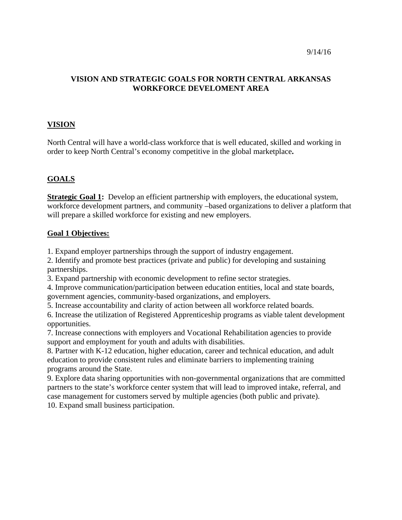### **VISION AND STRATEGIC GOALS FOR NORTH CENTRAL ARKANSAS WORKFORCE DEVELOMENT AREA**

### **VISION**

North Central will have a world-class workforce that is well educated, skilled and working in order to keep North Central's economy competitive in the global marketplace**.** 

# **GOALS**

**Strategic Goal 1:** Develop an efficient partnership with employers, the educational system, workforce development partners, and community –based organizations to deliver a platform that will prepare a skilled workforce for existing and new employers.

#### **Goal 1 Objectives:**

1. Expand employer partnerships through the support of industry engagement.

2. Identify and promote best practices (private and public) for developing and sustaining partnerships.

3. Expand partnership with economic development to refine sector strategies.

4. Improve communication/participation between education entities, local and state boards, government agencies, community-based organizations, and employers.

5. Increase accountability and clarity of action between all workforce related boards.

6. Increase the utilization of Registered Apprenticeship programs as viable talent development opportunities.

7. Increase connections with employers and Vocational Rehabilitation agencies to provide support and employment for youth and adults with disabilities.

8. Partner with K-12 education, higher education, career and technical education, and adult education to provide consistent rules and eliminate barriers to implementing training programs around the State.

9. Explore data sharing opportunities with non-governmental organizations that are committed partners to the state's workforce center system that will lead to improved intake, referral, and case management for customers served by multiple agencies (both public and private). 10. Expand small business participation.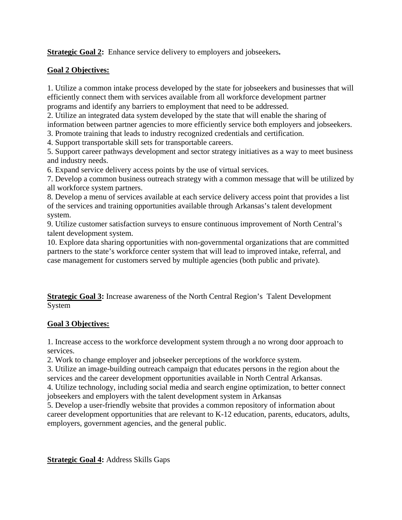**Strategic Goal 2:** Enhance service delivery to employers and jobseekers**.** 

# **Goal 2 Objectives:**

1. Utilize a common intake process developed by the state for jobseekers and businesses that will efficiently connect them with services available from all workforce development partner programs and identify any barriers to employment that need to be addressed.

2. Utilize an integrated data system developed by the state that will enable the sharing of information between partner agencies to more efficiently service both employers and jobseekers.

3. Promote training that leads to industry recognized credentials and certification.

4. Support transportable skill sets for transportable careers.

5. Support career pathways development and sector strategy initiatives as a way to meet business and industry needs.

6. Expand service delivery access points by the use of virtual services.

7. Develop a common business outreach strategy with a common message that will be utilized by all workforce system partners.

8. Develop a menu of services available at each service delivery access point that provides a list of the services and training opportunities available through Arkansas's talent development system.

9. Utilize customer satisfaction surveys to ensure continuous improvement of North Central's talent development system.

10. Explore data sharing opportunities with non-governmental organizations that are committed partners to the state's workforce center system that will lead to improved intake, referral, and case management for customers served by multiple agencies (both public and private).

**Strategic Goal 3:** Increase awareness of the North Central Region's Talent Development System

# **Goal 3 Objectives:**

1. Increase access to the workforce development system through a no wrong door approach to services.

2. Work to change employer and jobseeker perceptions of the workforce system.

3. Utilize an image-building outreach campaign that educates persons in the region about the services and the career development opportunities available in North Central Arkansas.

4. Utilize technology, including social media and search engine optimization, to better connect jobseekers and employers with the talent development system in Arkansas

5. Develop a user-friendly website that provides a common repository of information about career development opportunities that are relevant to K-12 education, parents, educators, adults, employers, government agencies, and the general public.

**Strategic Goal 4:** Address Skills Gaps